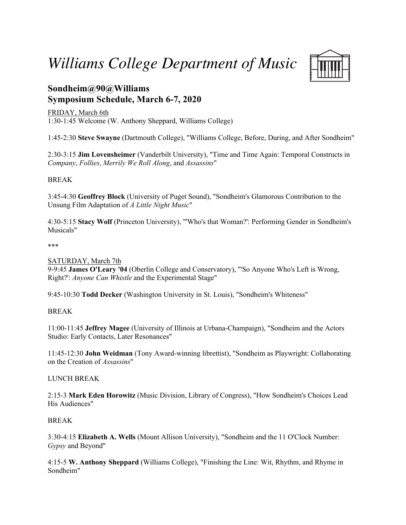*Williams College Department of Music* **Sondheim@90@Williams**



# **Symposium Schedule, March 6-7, 2020**

FRIDAY, March 6th 1:30-1:45 Welcome (W. Anthony Sheppard, Williams College)

1:45-2:30 **Steve Swayne** (Dartmouth College), "Williams College, Before, During, and After Sondheim"

2:30-3:15 **Jim Lovensheimer** (Vanderbilt University), "Time and Time Again: Temporal Constructs in *Company*, *Follies*, *Merrily We Roll Along*, and *Assassins*"

## BREAK

3:45-4:30 **Geoffrey Block** (University of Puget Sound), "Sondheim's Glamorous Contribution to the Unsung Film Adaptation of *A Little Night Music*"

4:30-5:15 **Stacy Wolf** (Princeton University), "'Who's that Woman?': Performing Gender in Sondheim's Musicals"

### \*\*\*

## SATURDAY, March 7th

9-9:45 **James O'Leary '04** (Oberlin College and Conservatory), "'So Anyone Who's Left is Wrong, Right?': *Anyone Can Whistle* and the Experimental Stage"

9:45-10:30 **Todd Decker** (Washington University in St. Louis), "Sondheim's Whiteness"

## BREAK

11:00-11:45 **Jeffrey Magee** (University of Illinois at Urbana-Champaign), "Sondheim and the Actors Studio: Early Contacts, Later Resonances"

11:45-12:30 **John Weidman** (Tony Award-winning librettist), "Sondheim as Playwright: Collaborating on the Creation of *Assassins*"

## LUNCH BREAK

2:15-3 **Mark Eden Horowitz** (Music Division, Library of Congress), "How Sondheim's Choices Lead His Audiences"

## BREAK

3:30-4:15 **Elizabeth A. Wells** (Mount Allison University), "Sondheim and the 11 O'Clock Number: *Gypsy* and Beyond"

4:15-5 **W. Anthony Sheppard** (Williams College), "Finishing the Line: Wit, Rhythm, and Rhyme in Sondheim"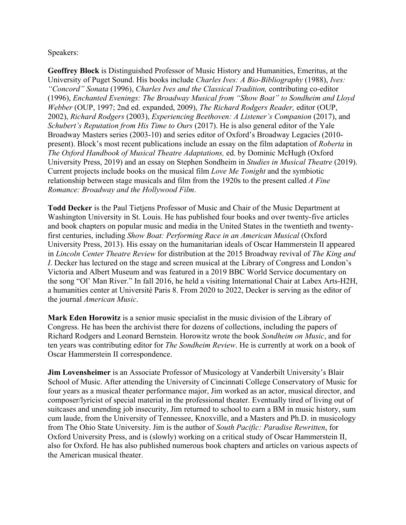Speakers:

**Geoffrey Block** is Distinguished Professor of Music History and Humanities, Emeritus, at the University of Puget Sound. His books include *Charles Ives: A Bio-Bibliography* (1988), *Ives: "Concord" Sonata* (1996), *Charles Ives and the Classical Tradition,* contributing co-editor (1996), *Enchanted Evenings: The Broadway Musical from "Show Boat" to Sondheim and Lloyd Webber* (OUP, 1997; 2nd ed. expanded, 2009), *The Richard Rodgers Reader,* editor (OUP, 2002), *Richard Rodgers* (2003), *Experiencing Beethoven: A Listener's Companion* (2017), and *Schubert's Reputation from His Time to Ours* (2017). He is also general editor of the Yale Broadway Masters series (2003-10) and series editor of Oxford's Broadway Legacies (2010 present). Block's most recent publications include an essay on the film adaptation of *Roberta* in *The Oxford Handbook of Musical Theatre Adaptations,* ed. by Dominic McHugh (Oxford University Press, 2019) and an essay on Stephen Sondheim in *Studies in Musical Theatre* (2019). Current projects include books on the musical film *Love Me Tonight* and the symbiotic relationship between stage musicals and film from the 1920s to the present called *A Fine Romance: Broadway and the Hollywood Film*.

**Todd Decker** is the Paul Tietjens Professor of Music and Chair of the Music Department at Washington University in St. Louis. He has published four books and over twenty-five articles and book chapters on popular music and media in the United States in the twentieth and twentyfirst centuries, including *Show Boat: Performing Race in an American Musical* (Oxford University Press, 2013). His essay on the humanitarian ideals of Oscar Hammerstein II appeared in *Lincoln Center Theatre Review* for distribution at the 2015 Broadway revival of *The King and I*. Decker has lectured on the stage and screen musical at the Library of Congress and London's Victoria and Albert Museum and was featured in a 2019 BBC World Service documentary on the song "Ol' Man River." In fall 2016, he held a visiting International Chair at Labex Arts-H2H, a humanities center at Université Paris 8. From 2020 to 2022, Decker is serving as the editor of the journal *American Music*.

**Mark Eden Horowitz** is a senior music specialist in the music division of the Library of Congress. He has been the archivist there for dozens of collections, including the papers of Richard Rodgers and Leonard Bernstein. Horowitz wrote the book *Sondheim on Music*, and for ten years was contributing editor for *The Sondheim Review*. He is currently at work on a book of Oscar Hammerstein II correspondence.

**Jim Lovensheimer** is an Associate Professor of Musicology at Vanderbilt University's Blair School of Music. After attending the University of Cincinnati College Conservatory of Music for four years as a musical theater performance major, Jim worked as an actor, musical director, and composer/lyricist of special material in the professional theater. Eventually tired of living out of suitcases and unending job insecurity, Jim returned to school to earn a BM in music history, sum cum laude, from the University of Tennessee, Knoxville, and a Masters and Ph.D. in musicology from The Ohio State University. Jim is the author of *South Pacific: Paradise Rewritten*, for Oxford University Press, and is (slowly) working on a critical study of Oscar Hammerstein II, also for Oxford. He has also published numerous book chapters and articles on various aspects of the American musical theater.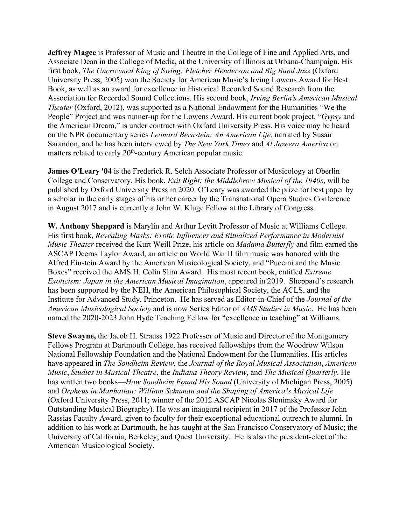**Jeffrey Magee** is Professor of Music and Theatre in the College of Fine and Applied Arts, and Associate Dean in the College of Media, at the University of Illinois at Urbana-Champaign. His first book, *The Uncrowned King of Swing: Fletcher Henderson and Big Band Jazz* (Oxford University Press, 2005) won the Society for American Music's Irving Lowens Award for Best Book, as well as an award for excellence in Historical Recorded Sound Research from the Association for Recorded Sound Collections. His second book, *Irving Berlin's American Musical Theater* (Oxford, 2012), was supported as a National Endowment for the Humanities "We the People" Project and was runner-up for the Lowens Award. His current book project, "*Gypsy* and the American Dream," is under contract with Oxford University Press. His voice may be heard on the NPR documentary series *Leonard Bernstein: An American Life*, narrated by Susan Sarandon, and he has been interviewed by *The New York Times* and *Al Jazeera America* on matters related to early 20<sup>th</sup>-century American popular music.

**James O'Leary '04** is the Frederick R. Selch Associate Professor of Musicology at Oberlin College and Conservatory. His book, *Exit Right: the Middlebrow Musical of the 1940s*, will be published by Oxford University Press in 2020. O'Leary was awarded the prize for best paper by a scholar in the early stages of his or her career by the Transnational Opera Studies Conference in August 2017 and is currently a John W. Kluge Fellow at the Library of Congress.

**W. Anthony Sheppard** is Marylin and Arthur Levitt Professor of Music at Williams College. His first book, *Revealing Masks: Exotic Influences and Ritualized Performance in Modernist Music Theater* received the Kurt Weill Prize, his article on *Madama Butterfly* and film earned the ASCAP Deems Taylor Award, an article on World War II film music was honored with the Alfred Einstein Award by the American Musicological Society, and "Puccini and the Music Boxes" received the AMS H. Colin Slim Award. His most recent book, entitled *Extreme Exoticism: Japan in the American Musical Imagination*, appeared in 2019. Sheppard's research has been supported by the NEH, the American Philosophical Society, the ACLS, and the Institute for Advanced Study, Princeton. He has served as Editor-in-Chief of the *Journal of the American Musicological Society* and is now Series Editor of *AMS Studies in Music*. He has been named the 2020-2023 John Hyde Teaching Fellow for "excellence in teaching" at Williams.

**Steve Swayne,** the Jacob H. Strauss 1922 Professor of Music and Director of the Montgomery Fellows Program at Dartmouth College, has received fellowships from the Woodrow Wilson National Fellowship Foundation and the National Endowment for the Humanities. His articles have appeared in *The Sondheim Review*, the *Journal of the Royal Musical Association*, *American Music*, *Studies in Musical Theatre*, the *Indiana Theory Review*, and *The Musical Quarterly*. He has written two books—*How Sondheim Found His Sound* (University of Michigan Press, 2005) and *Orpheus in Manhattan: William Schuman and the Shaping of America's Musical Life* (Oxford University Press, 2011; winner of the 2012 ASCAP Nicolas Slonimsky Award for Outstanding Musical Biography). He was an inaugural recipient in 2017 of the Professor John Rassias Faculty Award, given to faculty for their exceptional educational outreach to alumni. In addition to his work at Dartmouth, he has taught at the San Francisco Conservatory of Music; the University of California, Berkeley; and Quest University. He is also the president-elect of the American Musicological Society.